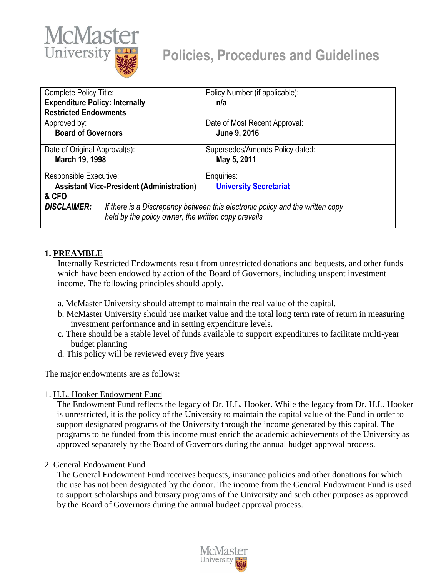

# **Policies, Procedures and Guidelines**

| Complete Policy Title:                                                                                                                                     | Policy Number (if applicable):                 |
|------------------------------------------------------------------------------------------------------------------------------------------------------------|------------------------------------------------|
| <b>Expenditure Policy: Internally</b>                                                                                                                      | n/a                                            |
| <b>Restricted Endowments</b>                                                                                                                               |                                                |
| Approved by:                                                                                                                                               | Date of Most Recent Approval:                  |
| <b>Board of Governors</b>                                                                                                                                  | June 9, 2016                                   |
| Date of Original Approval(s):<br>March 19, 1998                                                                                                            | Supersedes/Amends Policy dated:<br>May 5, 2011 |
| Responsible Executive:                                                                                                                                     | Enquiries:                                     |
| <b>Assistant Vice-President (Administration)</b><br>& CFO                                                                                                  | <b>University Secretariat</b>                  |
| <b>DISCLAIMER:</b><br>If there is a Discrepancy between this electronic policy and the written copy<br>held by the policy owner, the written copy prevails |                                                |

#### **1. PREAMBLE**

Internally Restricted Endowments result from unrestricted donations and bequests, and other funds which have been endowed by action of the Board of Governors, including unspent investment income. The following principles should apply.

- a. McMaster University should attempt to maintain the real value of the capital.
- b. McMaster University should use market value and the total long term rate of return in measuring investment performance and in setting expenditure levels.
- c. There should be a stable level of funds available to support expenditures to facilitate multi-year budget planning
- d. This policy will be reviewed every five years

The major endowments are as follows:

1. H.L. Hooker Endowment Fund

The Endowment Fund reflects the legacy of Dr. H.L. Hooker. While the legacy from Dr. H.L. Hooker is unrestricted, it is the policy of the University to maintain the capital value of the Fund in order to support designated programs of the University through the income generated by this capital. The programs to be funded from this income must enrich the academic achievements of the University as approved separately by the Board of Governors during the annual budget approval process.

#### 2. General Endowment Fund

The General Endowment Fund receives bequests, insurance policies and other donations for which the use has not been designated by the donor. The income from the General Endowment Fund is used to support scholarships and bursary programs of the University and such other purposes as approved by the Board of Governors during the annual budget approval process.

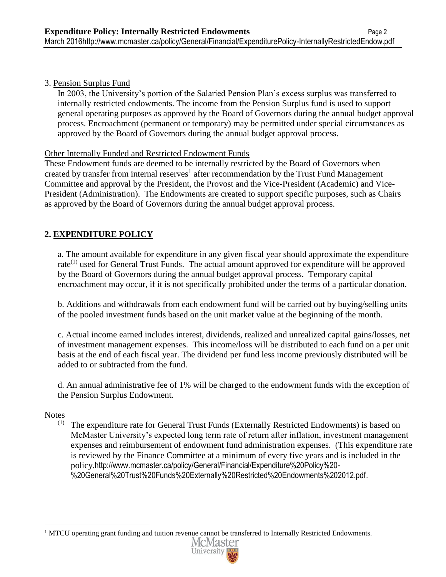#### 3. Pension Surplus Fund

In 2003, the University's portion of the Salaried Pension Plan's excess surplus was transferred to internally restricted endowments. The income from the Pension Surplus fund is used to support general operating purposes as approved by the Board of Governors during the annual budget approval process. Encroachment (permanent or temporary) may be permitted under special circumstances as approved by the Board of Governors during the annual budget approval process.

#### Other Internally Funded and Restricted Endowment Funds

These Endowment funds are deemed to be internally restricted by the Board of Governors when created by transfer from internal reserves<sup>1</sup> after recommendation by the Trust Fund Management Committee and approval by the President, the Provost and the Vice-President (Academic) and Vice-President (Administration). The Endowments are created to support specific purposes, such as Chairs as approved by the Board of Governors during the annual budget approval process.

### **2. EXPENDITURE POLICY**

a. The amount available for expenditure in any given fiscal year should approximate the expenditure rate $^{(1)}$  used for General Trust Funds. The actual amount approved for expenditure will be approved by the Board of Governors during the annual budget approval process. Temporary capital encroachment may occur, if it is not specifically prohibited under the terms of a particular donation.

b. Additions and withdrawals from each endowment fund will be carried out by buying/selling units of the pooled investment funds based on the unit market value at the beginning of the month.

c. Actual income earned includes interest, dividends, realized and unrealized capital gains/losses, net of investment management expenses. This income/loss will be distributed to each fund on a per unit basis at the end of each fiscal year. The dividend per fund less income previously distributed will be added to or subtracted from the fund.

d. An annual administrative fee of 1% will be charged to the endowment funds with the exception of the Pension Surplus Endowment.

## $\frac{\text{Notes}}{\text{(1)}}$

 $\overline{a}$ 

(1) The expenditure rate for General Trust Funds (Externally Restricted Endowments) is based on McMaster University's expected long term rate of return after inflation, investment management expenses and reimbursement of endowment fund administration expenses. (This expenditure rate is reviewed by the Finance Committee at a minimum of every five years and is included in the policy.http://www.mcmaster.ca/policy/General/Financial/Expenditure%20Policy%20- %20General%20Trust%20Funds%20Externally%20Restricted%20Endowments%202012.pdf.

<sup>&</sup>lt;sup>1</sup> MTCU operating grant funding and tuition revenue cannot be transferred to Internally Restricted Endowments.